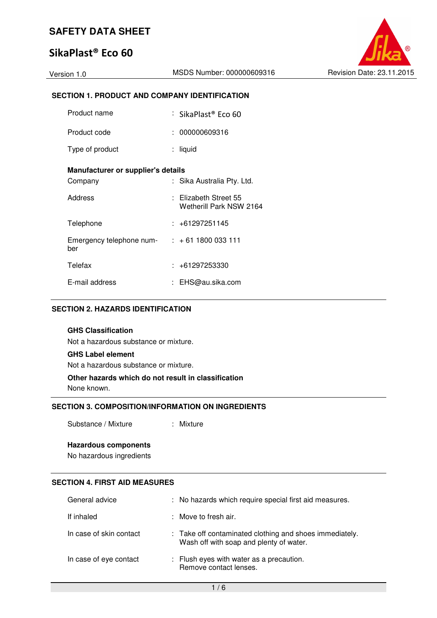## **SikaPlast® Eco 60**

#### **SECTION 1. PRODUCT AND COMPANY IDENTIFICATION**

| Product name                                      | : SikaPlast® Fco 60                              |  |  |  |  |
|---------------------------------------------------|--------------------------------------------------|--|--|--|--|
| Product code                                      | : 000000609316                                   |  |  |  |  |
| Type of product                                   | liquid                                           |  |  |  |  |
| <b>Manufacturer or supplier's details</b>         |                                                  |  |  |  |  |
| Company                                           | : Sika Australia Pty. Ltd.                       |  |  |  |  |
| Address                                           | : Elizabeth Street 55<br>Wetherill Park NSW 2164 |  |  |  |  |
| Telephone                                         | : +61297251145                                   |  |  |  |  |
| Emergency telephone num- $: +611800033111$<br>ber |                                                  |  |  |  |  |
| Telefax                                           | : +61297253330                                   |  |  |  |  |
| E-mail address                                    | EHS@au.sika.com                                  |  |  |  |  |

#### **SECTION 2. HAZARDS IDENTIFICATION**

#### **GHS Classification**

Not a hazardous substance or mixture.

#### **GHS Label element**

Not a hazardous substance or mixture.

## **Other hazards which do not result in classification**

None known.

#### **SECTION 3. COMPOSITION/INFORMATION ON INGREDIENTS**

Substance / Mixture : Mixture

### **Hazardous components**

No hazardous ingredients

#### **SECTION 4. FIRST AID MEASURES**

| General advice          | : No hazards which require special first aid measures.                                             |
|-------------------------|----------------------------------------------------------------------------------------------------|
| If inhaled              | $\therefore$ Move to fresh air.                                                                    |
| In case of skin contact | : Take off contaminated clothing and shoes immediately.<br>Wash off with soap and plenty of water. |
| In case of eye contact  | : Flush eyes with water as a precaution.<br>Remove contact lenses.                                 |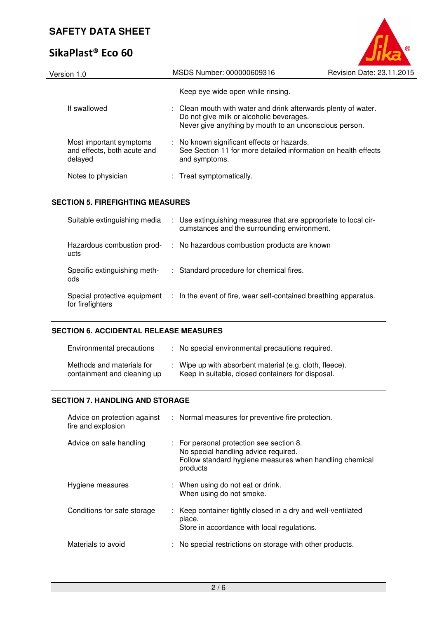# **SikaPlast® Eco 60**

| Version 1.0                                                       | MSDS Number: 000000609316                                                                                                                                            | Revision Date: 23.11.2015 |
|-------------------------------------------------------------------|----------------------------------------------------------------------------------------------------------------------------------------------------------------------|---------------------------|
|                                                                   | Keep eye wide open while rinsing.                                                                                                                                    |                           |
| If swallowed                                                      | : Clean mouth with water and drink afterwards plenty of water.<br>Do not give milk or alcoholic beverages.<br>Never give anything by mouth to an unconscious person. |                           |
| Most important symptoms<br>and effects, both acute and<br>delayed | : No known significant effects or hazards.<br>See Section 11 for more detailed information on health effects<br>and symptoms.                                        |                           |
| Notes to physician                                                | : Treat symptomatically.                                                                                                                                             |                           |

B

#### **SECTION 5. FIREFIGHTING MEASURES**

| Suitable extinguishing media                     | : Use extinguishing measures that are appropriate to local cir-<br>cumstances and the surrounding environment. |
|--------------------------------------------------|----------------------------------------------------------------------------------------------------------------|
| Hazardous combustion prod-<br>ucts               | : No hazardous combustion products are known                                                                   |
| Specific extinguishing meth-<br>ods              | : Standard procedure for chemical fires.                                                                       |
| Special protective equipment<br>for firefighters | : In the event of fire, wear self-contained breathing apparatus.                                               |

#### **SECTION 6. ACCIDENTAL RELEASE MEASURES**

| Environmental precautions                                | : No special environmental precautions required.                                                             |
|----------------------------------------------------------|--------------------------------------------------------------------------------------------------------------|
| Methods and materials for<br>containment and cleaning up | : Wipe up with absorbent material (e.g. cloth, fleece).<br>Keep in suitable, closed containers for disposal. |

#### **SECTION 7. HANDLING AND STORAGE**

| Advice on protection against<br>fire and explosion | : Normal measures for preventive fire protection.                                                                                                       |
|----------------------------------------------------|---------------------------------------------------------------------------------------------------------------------------------------------------------|
| Advice on safe handling                            | : For personal protection see section 8.<br>No special handling advice required.<br>Follow standard hygiene measures when handling chemical<br>products |
| Hygiene measures                                   | : When using do not eat or drink.<br>When using do not smoke.                                                                                           |
| Conditions for safe storage                        | : Keep container tightly closed in a dry and well-ventilated<br>place.<br>Store in accordance with local regulations.                                   |
| Materials to avoid                                 | : No special restrictions on storage with other products.                                                                                               |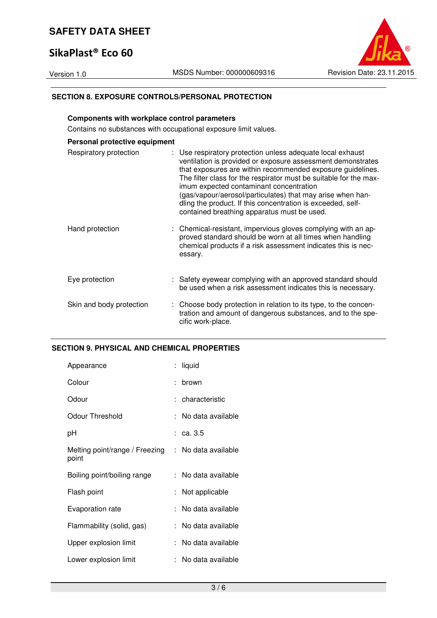## **SikaPlast® Eco 60**



#### **SECTION 8. EXPOSURE CONTROLS/PERSONAL PROTECTION**

#### **Components with workplace control parameters**

Contains no substances with occupational exposure limit values.

| Personal protective equipment |                                                                                                                                                                                                                                                                                                                                                                                                                                                                                     |
|-------------------------------|-------------------------------------------------------------------------------------------------------------------------------------------------------------------------------------------------------------------------------------------------------------------------------------------------------------------------------------------------------------------------------------------------------------------------------------------------------------------------------------|
| Respiratory protection        | : Use respiratory protection unless adequate local exhaust<br>ventilation is provided or exposure assessment demonstrates<br>that exposures are within recommended exposure guidelines.<br>The filter class for the respirator must be suitable for the max-<br>imum expected contaminant concentration<br>(gas/vapour/aerosol/particulates) that may arise when han-<br>dling the product. If this concentration is exceeded, self-<br>contained breathing apparatus must be used. |
| Hand protection               | : Chemical-resistant, impervious gloves complying with an ap-<br>proved standard should be worn at all times when handling<br>chemical products if a risk assessment indicates this is nec-<br>essary.                                                                                                                                                                                                                                                                              |
| Eye protection                | : Safety eyewear complying with an approved standard should<br>be used when a risk assessment indicates this is necessary.                                                                                                                                                                                                                                                                                                                                                          |
| Skin and body protection      | : Choose body protection in relation to its type, to the concen-<br>tration and amount of dangerous substances, and to the spe-<br>cific work-place.                                                                                                                                                                                                                                                                                                                                |

#### **SECTION 9. PHYSICAL AND CHEMICAL PROPERTIES**

| Appearance                              |    | liquid              |
|-----------------------------------------|----|---------------------|
| Colour                                  |    | brown               |
| Odour                                   |    | : characteristic    |
| Odour Threshold                         | t. | No data available   |
| рH                                      |    | : ca. 3.5           |
| Melting point/range / Freezing<br>point |    | : No data available |
| Boiling point/boiling range             |    | No data available   |
| Flash point                             |    | Not applicable      |
| Evaporation rate                        |    | No data available   |
| Flammability (solid, gas)               |    | No data available   |
| Upper explosion limit                   |    | : No data available |
| Lower explosion limit                   |    | No data available   |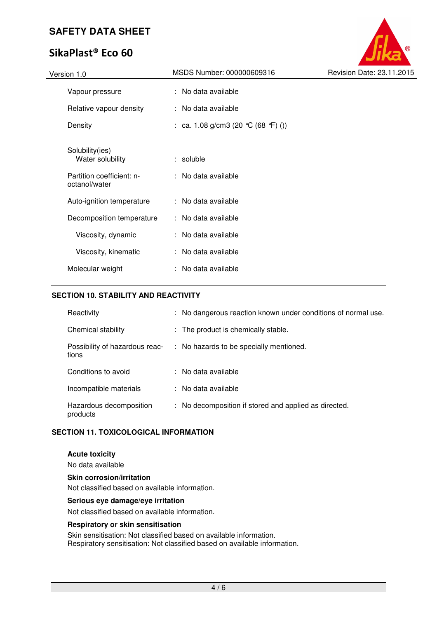# **SikaPlast® Eco 60**



| Version 1.0                                | MSDS Number: 000000609316           | Revision Date: 23.11.2015 |
|--------------------------------------------|-------------------------------------|---------------------------|
| Vapour pressure                            | : No data available                 |                           |
| Relative vapour density                    | : No data available                 |                           |
| Density                                    | : ca. 1.08 g/cm3 (20 °C (68 °F) ()) |                           |
| Solubility(ies)<br>Water solubility        | : soluble                           |                           |
| Partition coefficient: n-<br>octanol/water | : No data available                 |                           |
| Auto-ignition temperature                  | : No data available                 |                           |
| Decomposition temperature                  | : No data available                 |                           |
| Viscosity, dynamic                         | : No data available                 |                           |
| Viscosity, kinematic                       | : No data available                 |                           |
| Molecular weight                           | : No data available                 |                           |
|                                            |                                     |                           |

#### **SECTION 10. STABILITY AND REACTIVITY**

| Reactivity                              | : No dangerous reaction known under conditions of normal use. |
|-----------------------------------------|---------------------------------------------------------------|
| Chemical stability                      | : The product is chemically stable.                           |
| Possibility of hazardous reac-<br>tions | : No hazards to be specially mentioned.                       |
| Conditions to avoid                     | : No data available                                           |
| Incompatible materials                  | : No data available                                           |
| Hazardous decomposition<br>products     | : No decomposition if stored and applied as directed.         |

#### **SECTION 11. TOXICOLOGICAL INFORMATION**

#### **Acute toxicity**

No data available

#### **Skin corrosion/irritation**

Not classified based on available information.

#### **Serious eye damage/eye irritation**

Not classified based on available information.

#### **Respiratory or skin sensitisation**

Skin sensitisation: Not classified based on available information. Respiratory sensitisation: Not classified based on available information.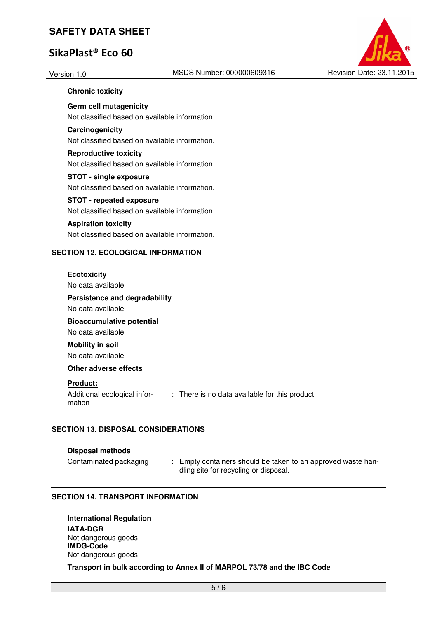## **SikaPlast® Eco 60**



#### **Chronic toxicity**

**Germ cell mutagenicity**  Not classified based on available information.

#### **Carcinogenicity**

Not classified based on available information.

# **Reproductive toxicity**

Not classified based on available information.

#### **STOT - single exposure**

Not classified based on available information.

#### **STOT - repeated exposure**

Not classified based on available information.

#### **Aspiration toxicity**

Not classified based on available information.

#### **SECTION 12. ECOLOGICAL INFORMATION**

#### **Ecotoxicity**

No data available

#### **Persistence and degradability**

No data available

# **Bioaccumulative potential**

No data available **Mobility in soil** 

No data available

#### **Other adverse effects**

#### **Product:**

Additional ecological information : There is no data available for this product.

#### **SECTION 13. DISPOSAL CONSIDERATIONS**

#### **Disposal methods**

Contaminated packaging : Empty containers should be taken to an approved waste handling site for recycling or disposal.

#### **SECTION 14. TRANSPORT INFORMATION**

**International Regulation IATA-DGR** Not dangerous goods **IMDG-Code** Not dangerous goods

#### **Transport in bulk according to Annex II of MARPOL 73/78 and the IBC Code**